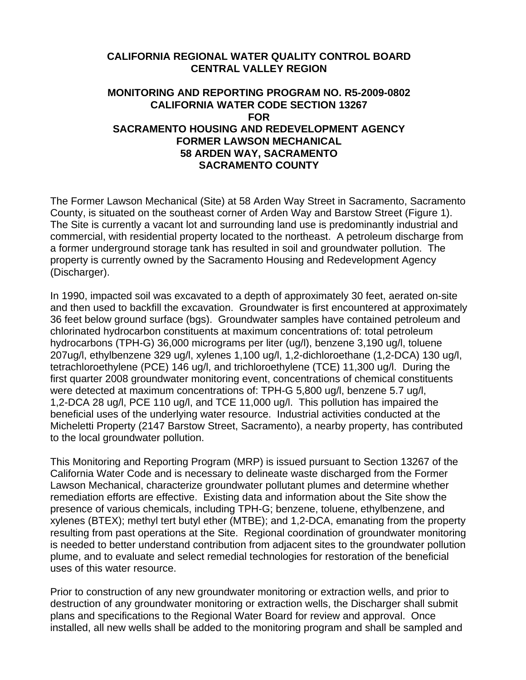## **CALIFORNIA REGIONAL WATER QUALITY CONTROL BOARD CENTRAL VALLEY REGION**

## **MONITORING AND REPORTING PROGRAM NO. R5-2009-0802 CALIFORNIA WATER CODE SECTION 13267 FOR SACRAMENTO HOUSING AND REDEVELOPMENT AGENCY FORMER LAWSON MECHANICAL 58 ARDEN WAY, SACRAMENTO SACRAMENTO COUNTY**

The Former Lawson Mechanical (Site) at 58 Arden Way Street in Sacramento, Sacramento County, is situated on the southeast corner of Arden Way and Barstow Street (Figure 1). The Site is currently a vacant lot and surrounding land use is predominantly industrial and commercial, with residential property located to the northeast. A petroleum discharge from a former underground storage tank has resulted in soil and groundwater pollution. The property is currently owned by the Sacramento Housing and Redevelopment Agency (Discharger).

In 1990, impacted soil was excavated to a depth of approximately 30 feet, aerated on-site and then used to backfill the excavation. Groundwater is first encountered at approximately 36 feet below ground surface (bgs). Groundwater samples have contained petroleum and chlorinated hydrocarbon constituents at maximum concentrations of: total petroleum hydrocarbons (TPH-G) 36,000 micrograms per liter (ug/l), benzene 3,190 ug/l, toluene 207ug/l, ethylbenzene 329 ug/l, xylenes 1,100 ug/l, 1,2-dichloroethane (1,2-DCA) 130 ug/l, tetrachloroethylene (PCE) 146 ug/l, and trichloroethylene (TCE) 11,300 ug/l. During the first quarter 2008 groundwater monitoring event, concentrations of chemical constituents were detected at maximum concentrations of: TPH-G 5,800 ug/l, benzene 5.7 ug/l, 1,2-DCA 28 ug/l, PCE 110 ug/l, and TCE 11,000 ug/l. This pollution has impaired the beneficial uses of the underlying water resource. Industrial activities conducted at the Micheletti Property (2147 Barstow Street, Sacramento), a nearby property, has contributed to the local groundwater pollution.

This Monitoring and Reporting Program (MRP) is issued pursuant to Section 13267 of the California Water Code and is necessary to delineate waste discharged from the Former Lawson Mechanical, characterize groundwater pollutant plumes and determine whether remediation efforts are effective. Existing data and information about the Site show the presence of various chemicals, including TPH-G; benzene, toluene, ethylbenzene, and xylenes (BTEX); methyl tert butyl ether (MTBE); and 1,2-DCA, emanating from the property resulting from past operations at the Site. Regional coordination of groundwater monitoring is needed to better understand contribution from adjacent sites to the groundwater pollution plume, and to evaluate and select remedial technologies for restoration of the beneficial uses of this water resource.

Prior to construction of any new groundwater monitoring or extraction wells, and prior to destruction of any groundwater monitoring or extraction wells, the Discharger shall submit plans and specifications to the Regional Water Board for review and approval. Once installed, all new wells shall be added to the monitoring program and shall be sampled and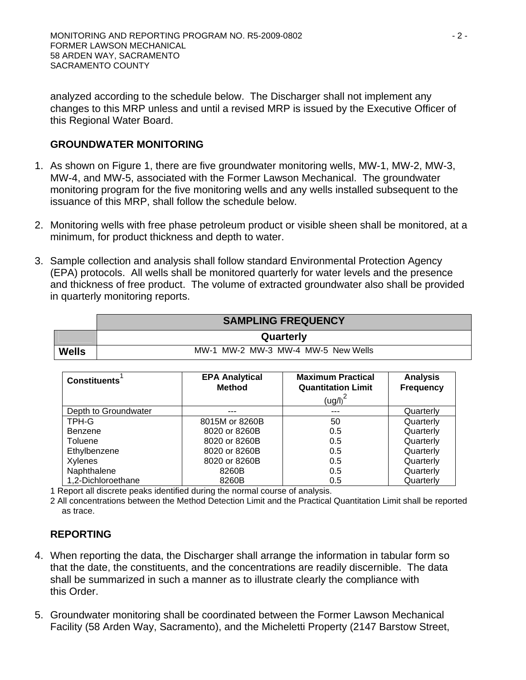analyzed according to the schedule below. The Discharger shall not implement any changes to this MRP unless and until a revised MRP is issued by the Executive Officer of this Regional Water Board.

## **GROUNDWATER MONITORING**

- 1. As shown on Figure 1, there are five groundwater monitoring wells, MW-1, MW-2, MW-3, MW-4, and MW-5, associated with the Former Lawson Mechanical. The groundwater monitoring program for the five monitoring wells and any wells installed subsequent to the issuance of this MRP, shall follow the schedule below.
- 2. Monitoring wells with free phase petroleum product or visible sheen shall be monitored, at a minimum, for product thickness and depth to water.
- 3. Sample collection and analysis shall follow standard Environmental Protection Agency (EPA) protocols. All wells shall be monitored quarterly for water levels and the presence and thickness of free product. The volume of extracted groundwater also shall be provided in quarterly monitoring reports.

|              | <b>SAMPLING FREQUENCY</b>          |  |  |  |
|--------------|------------------------------------|--|--|--|
|              | Quarterly                          |  |  |  |
| <b>Wells</b> | MW-1 MW-2 MW-3 MW-4 MW-5 New Wells |  |  |  |

| <b>Constituents</b>  | <b>EPA Analytical</b><br><b>Method</b> | <b>Maximum Practical</b><br><b>Quantitation Limit</b> | <b>Analysis</b><br><b>Frequency</b> |
|----------------------|----------------------------------------|-------------------------------------------------------|-------------------------------------|
|                      |                                        | $\left(\frac{u}{g}\right)^2$                          |                                     |
| Depth to Groundwater | ---                                    |                                                       | Quarterly                           |
| TPH-G                | 8015M or 8260B                         | 50                                                    | Quarterly                           |
| Benzene              | 8020 or 8260B                          | 0.5                                                   | Quarterly                           |
| Toluene              | 8020 or 8260B                          | 0.5                                                   | Quarterly                           |
| Ethylbenzene         | 8020 or 8260B                          | 0.5                                                   | Quarterly                           |
| Xylenes              | 8020 or 8260B                          | 0.5                                                   | Quarterly                           |
| Naphthalene          | 8260B                                  | 0.5                                                   | Quarterly                           |
| 1,2-Dichloroethane   | 8260B                                  | 0.5                                                   | Quarterly                           |

1 Report all discrete peaks identified during the normal course of analysis.

2 All concentrations between the Method Detection Limit and the Practical Quantitation Limit shall be reported as trace.

## **REPORTING**

- 4. When reporting the data, the Discharger shall arrange the information in tabular form so that the date, the constituents, and the concentrations are readily discernible. The data shall be summarized in such a manner as to illustrate clearly the compliance with this Order.
- 5. Groundwater monitoring shall be coordinated between the Former Lawson Mechanical Facility (58 Arden Way, Sacramento), and the Micheletti Property (2147 Barstow Street,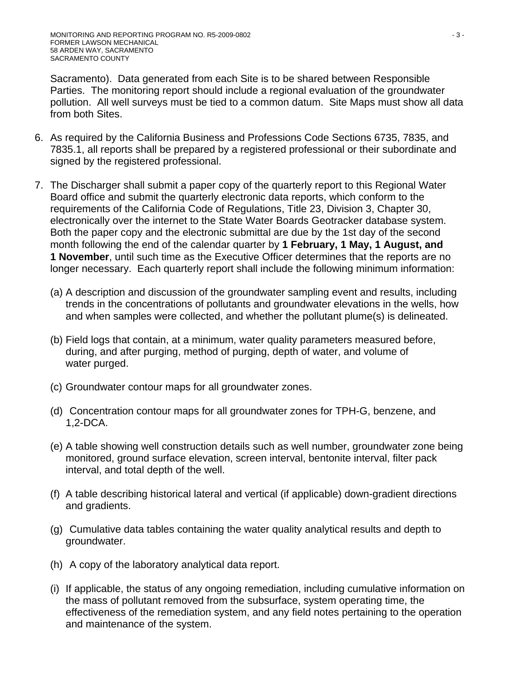Sacramento). Data generated from each Site is to be shared between Responsible Parties. The monitoring report should include a regional evaluation of the groundwater pollution. All well surveys must be tied to a common datum. Site Maps must show all data from both Sites.

- 6. As required by the California Business and Professions Code Sections 6735, 7835, and 7835.1, all reports shall be prepared by a registered professional or their subordinate and signed by the registered professional.
- 7. The Discharger shall submit a paper copy of the quarterly report to this Regional Water Board office and submit the quarterly electronic data reports, which conform to the requirements of the California Code of Regulations, Title 23, Division 3, Chapter 30, electronically over the internet to the State Water Boards Geotracker database system. Both the paper copy and the electronic submittal are due by the 1st day of the second month following the end of the calendar quarter by **1 February, 1 May, 1 August, and 1 November**, until such time as the Executive Officer determines that the reports are no longer necessary. Each quarterly report shall include the following minimum information:
	- (a) A description and discussion of the groundwater sampling event and results, including trends in the concentrations of pollutants and groundwater elevations in the wells, how and when samples were collected, and whether the pollutant plume(s) is delineated.
	- (b) Field logs that contain, at a minimum, water quality parameters measured before, during, and after purging, method of purging, depth of water, and volume of water purged.
	- (c) Groundwater contour maps for all groundwater zones.
	- (d) Concentration contour maps for all groundwater zones for TPH-G, benzene, and 1,2-DCA.
	- (e) A table showing well construction details such as well number, groundwater zone being monitored, ground surface elevation, screen interval, bentonite interval, filter pack interval, and total depth of the well.
	- (f) A table describing historical lateral and vertical (if applicable) down-gradient directions and gradients.
	- (g) Cumulative data tables containing the water quality analytical results and depth to groundwater.
	- (h) A copy of the laboratory analytical data report.
	- (i) If applicable, the status of any ongoing remediation, including cumulative information on the mass of pollutant removed from the subsurface, system operating time, the effectiveness of the remediation system, and any field notes pertaining to the operation and maintenance of the system.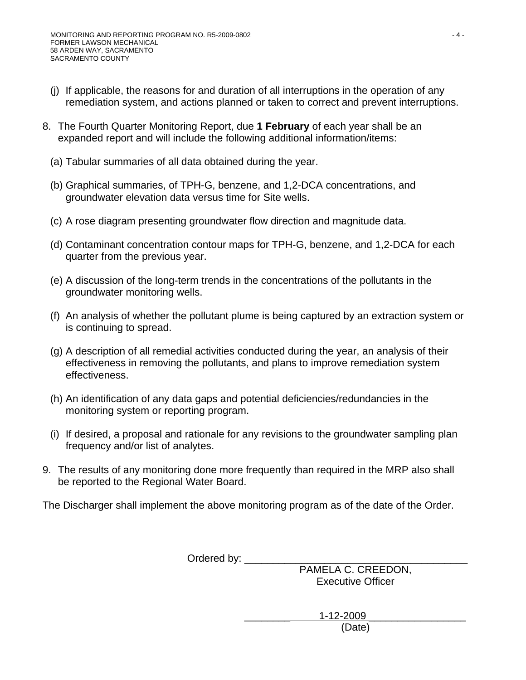- (j) If applicable, the reasons for and duration of all interruptions in the operation of any remediation system, and actions planned or taken to correct and prevent interruptions.
- 8. The Fourth Quarter Monitoring Report, due **1 February** of each year shall be an expanded report and will include the following additional information/items:
	- (a) Tabular summaries of all data obtained during the year.
	- (b) Graphical summaries, of TPH-G, benzene, and 1,2-DCA concentrations, and groundwater elevation data versus time for Site wells.
	- (c) A rose diagram presenting groundwater flow direction and magnitude data.
	- (d) Contaminant concentration contour maps for TPH-G, benzene, and 1,2-DCA for each quarter from the previous year.
	- (e) A discussion of the long-term trends in the concentrations of the pollutants in the groundwater monitoring wells.
	- (f) An analysis of whether the pollutant plume is being captured by an extraction system or is continuing to spread.
	- (g) A description of all remedial activities conducted during the year, an analysis of their effectiveness in removing the pollutants, and plans to improve remediation system effectiveness.
	- (h) An identification of any data gaps and potential deficiencies/redundancies in the monitoring system or reporting program.
	- (i) If desired, a proposal and rationale for any revisions to the groundwater sampling plan frequency and/or list of analytes.
- 9. The results of any monitoring done more frequently than required in the MRP also shall be reported to the Regional Water Board.

The Discharger shall implement the above monitoring program as of the date of the Order.

Ordered by: \_\_\_\_\_\_\_\_\_\_\_\_\_\_\_\_\_\_\_\_\_\_\_\_\_\_\_\_\_\_\_\_\_\_\_\_\_\_\_

PAMELA C. CREEDON, Executive Officer

 \_\_\_\_\_\_\_\_ 1-12-2009 \_\_\_\_\_\_\_\_\_\_\_\_\_\_\_\_\_ (Date)